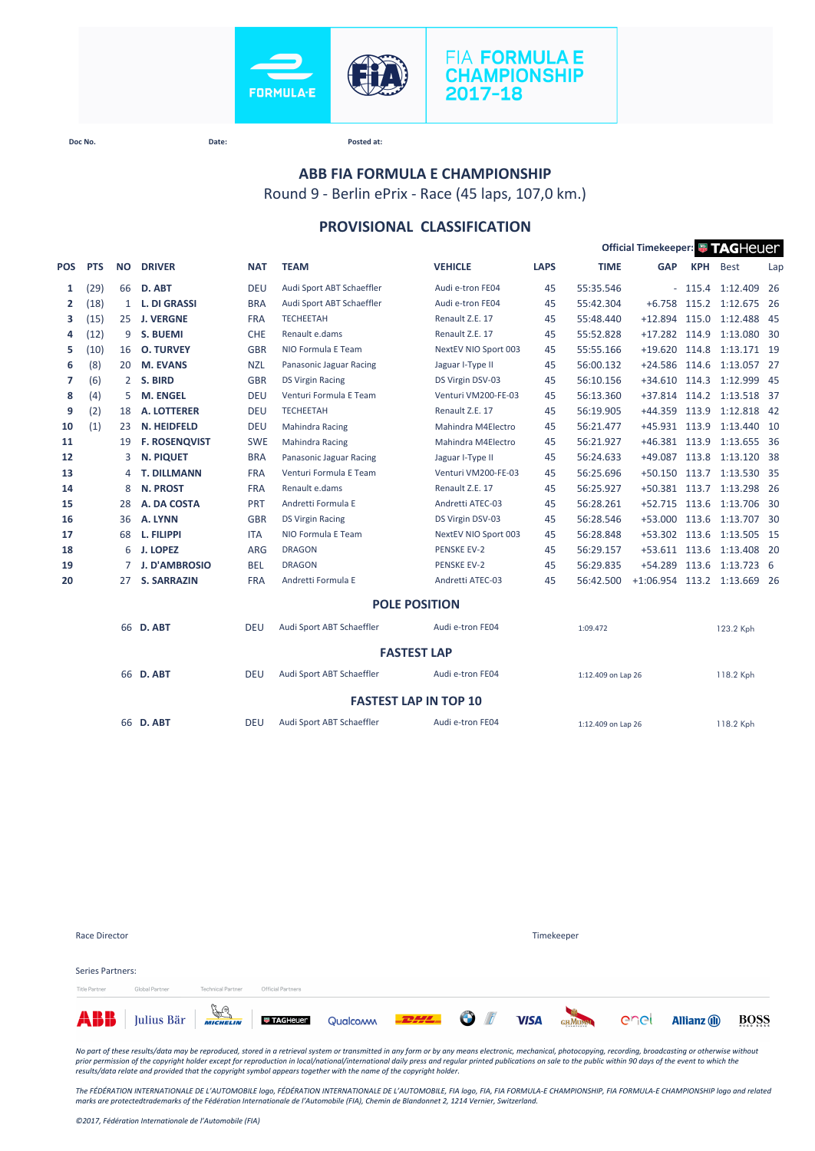

## **FIA FORMULA E CHAMPIONSHIP** 2017-18

**Doc No. Date: Posted at:**

# **ABB FIA FORMULA E CHAMPIONSHIP**

Round 9 - Berlin ePrix - Race (45 laps, 107,0 km.)

## **PROVISIONAL CLASSIFICATION**

|                    |            |              |                      |            |                           |                              | Official Timekeeper: FAGHeuer |                    |                             |            |                           |     |  |
|--------------------|------------|--------------|----------------------|------------|---------------------------|------------------------------|-------------------------------|--------------------|-----------------------------|------------|---------------------------|-----|--|
| <b>POS</b>         | <b>PTS</b> | <b>NO</b>    | <b>DRIVER</b>        | <b>NAT</b> | <b>TEAM</b>               | <b>VEHICLE</b>               | <b>LAPS</b>                   | <b>TIME</b>        | <b>GAP</b>                  | <b>KPH</b> | <b>Best</b>               | Lap |  |
| 1                  | (29)       | 66           | D. ABT               | <b>DEU</b> | Audi Sport ABT Schaeffler | Audi e-tron FE04             | 45                            | 55:35.546          |                             |            | $-115.4$ 1:12.409         | -26 |  |
| $\overline{2}$     | (18)       | $\mathbf{1}$ | <b>L. DI GRASSI</b>  | <b>BRA</b> | Audi Sport ABT Schaeffler | Audi e-tron FE04             | 45                            | 55:42.304          | $+6.758$                    |            | 115.2 1:12.675 26         |     |  |
| з                  | (15)       | 25           | <b>J. VERGNE</b>     | <b>FRA</b> | <b>TECHEETAH</b>          | Renault Z.E. 17              | 45                            | 55:48.440          | $+12.894$                   | 115.0      | 1:12.488 45               |     |  |
| 4                  | (12)       | 9            | S. BUEMI             | <b>CHE</b> | Renault e.dams            | Renault Z.E. 17              | 45                            | 55:52.828          | $+17.282$ 114.9             |            | 1:13.080 30               |     |  |
| 5                  | (10)       | 16           | <b>O. TURVEY</b>     | <b>GBR</b> | NIO Formula E Team        | NextEV NIO Sport 003         | 45                            | 55:55.166          | $+19.620$ 114.8             |            | 1:13.171 19               |     |  |
| 6                  | (8)        | 20           | M. EVANS             | <b>NZL</b> | Panasonic Jaguar Racing   | Jaguar I-Type II             | 45                            | 56:00.132          | $+24.586$                   | 114.6      | 1:13.057 27               |     |  |
| 7                  | (6)        | 2            | S. BIRD              | <b>GBR</b> | <b>DS Virgin Racing</b>   | DS Virgin DSV-03             | 45                            | 56:10.156          | $+34.610$ 114.3             |            | 1:12.999 45               |     |  |
| 8                  | (4)        | 5            | <b>M. ENGEL</b>      | <b>DEU</b> | Venturi Formula E Team    | Venturi VM200-FE-03          | 45                            | 56:13.360          |                             |            | +37.814 114.2 1:13.518 37 |     |  |
| 9                  | (2)        | 18           | <b>A. LOTTERER</b>   | <b>DEU</b> | <b>TECHEETAH</b>          | Renault Z.E. 17              | 45                            | 56:19.905          | $+44.359$                   | 113.9      | 1:12.818 42               |     |  |
| 10                 | (1)        | 23           | N. HEIDFELD          | <b>DEU</b> | <b>Mahindra Racing</b>    | Mahindra M4Electro           | 45                            | 56:21.477          | +45.931 113.9               |            | 1:13.440 10               |     |  |
| 11                 |            | 19           | <b>F. ROSENQVIST</b> | <b>SWE</b> | <b>Mahindra Racing</b>    | Mahindra M4Electro           | 45                            | 56:21.927          | +46.381 113.9               |            | 1:13.655 36               |     |  |
| 12                 |            | 3            | <b>N. PIQUET</b>     | <b>BRA</b> | Panasonic Jaguar Racing   | Jaguar I-Type II             | 45                            | 56:24.633          | $+49.087$                   | 113.8      | 1:13.120 38               |     |  |
| 13                 |            | 4            | <b>T. DILLMANN</b>   | <b>FRA</b> | Venturi Formula E Team    | Venturi VM200-FE-03          | 45                            | 56:25.696          | $+50.150$                   | 113.7      | 1:13.530 35               |     |  |
| 14                 |            | 8            | <b>N. PROST</b>      | <b>FRA</b> | Renault e.dams            | Renault Z.E. 17              | 45                            | 56:25.927          | +50.381 113.7               |            | 1:13.298 26               |     |  |
| 15                 |            | 28           | A. DA COSTA          | PRT        | Andretti Formula E        | Andretti ATEC-03             | 45                            | 56:28.261          | +52.715 113.6               |            | 1:13.706 30               |     |  |
| 16                 |            | 36           | A. LYNN              | <b>GBR</b> | <b>DS Virgin Racing</b>   | DS Virgin DSV-03             | 45                            | 56:28.546          | $+53.000$                   | 113.6      | 1:13.707 30               |     |  |
| 17                 |            | 68           | L. FILIPPI           | <b>ITA</b> | NIO Formula E Team        | NextEV NIO Sport 003         | 45                            | 56:28.848          | +53.302 113.6               |            | 1:13.505 15               |     |  |
| 18                 |            | 6            | <b>J. LOPEZ</b>      | <b>ARG</b> | <b>DRAGON</b>             | <b>PENSKE EV-2</b>           | 45                            | 56:29.157          |                             |            | +53.611 113.6 1:13.408 20 |     |  |
| 19                 |            | 7            | <b>J. D'AMBROSIO</b> | <b>BEL</b> | <b>DRAGON</b>             | <b>PENSKE EV-2</b>           | 45                            | 56:29.835          | $+54.289$                   | 113.6      | 1:13.723 6                |     |  |
| 20                 |            | 27           | <b>S. SARRAZIN</b>   | <b>FRA</b> | Andretti Formula E        | Andretti ATEC-03             | 45                            | 56:42.500          | +1:06.954 113.2 1:13.669 26 |            |                           |     |  |
|                    |            |              |                      |            |                           | <b>POLE POSITION</b>         |                               |                    |                             |            |                           |     |  |
|                    |            |              | 66 D. ABT            | <b>DEU</b> | Audi Sport ABT Schaeffler | Audi e-tron FE04             |                               | 1:09.472           |                             |            | 123.2 Kph                 |     |  |
| <b>FASTEST LAP</b> |            |              |                      |            |                           |                              |                               |                    |                             |            |                           |     |  |
|                    |            |              | 66 D. ABT            | <b>DEU</b> | Audi Sport ABT Schaeffler | Audi e-tron FE04             |                               | 1:12.409 on Lap 26 |                             |            | 118.2 Kph                 |     |  |
|                    |            |              |                      |            |                           | <b>FASTEST LAP IN TOP 10</b> |                               |                    |                             |            |                           |     |  |
|                    |            |              | 66 D. ABT            | <b>DEU</b> | Audi Sport ABT Schaeffler | Audi e-tron FE04             |                               | 1:12.409 on Lap 26 |                             |            | 118.2 Kph                 |     |  |
|                    |            |              |                      |            |                           |                              |                               |                    |                             |            |                           |     |  |

| Race Director                     |                                                 |                          |                   |  | Timekeeper  |        |      |                     |             |
|-----------------------------------|-------------------------------------------------|--------------------------|-------------------|--|-------------|--------|------|---------------------|-------------|
| Series Partners:<br>Title Partner | Global Partner                                  | <b>Technical Partner</b> | Official Partners |  |             |        |      |                     |             |
| ABB                               | Julius Bär <b>Fraguer</b> Qualcom <b>FILE O</b> |                          |                   |  | <b>VISA</b> | GHMUMA | enel | <b>Allianz</b> (ii) | <b>BOSS</b> |

*No part of these results/data may be reproduced, stored in a retrieval system or transmitted in any form or by any means electronic, mechanical, photocopying, recording, broadcasting or otherwise without*  prior permission of the copyright holder except for reproduction in local/national/international daily press and regular printed publications on sale to the public within 90 days of the event to which the<br>results/data rela

*The FÉDÉRATION INTERNATIONALE DE L'AUTOMOBILE logo, FÉDÉRATION INTERNATIONALE DE L'AUTOMOBILE, FIA logo, FIA, FIA FORMULA-E CHAMPIONSHIP, FIA FORMULA-E CHAMPIONSHIP logo and related marks are protectedtrademarks of the Fédération Internationale de l'Automobile (FIA), Chemin de Blandonnet 2, 1214 Vernier, Switzerland.*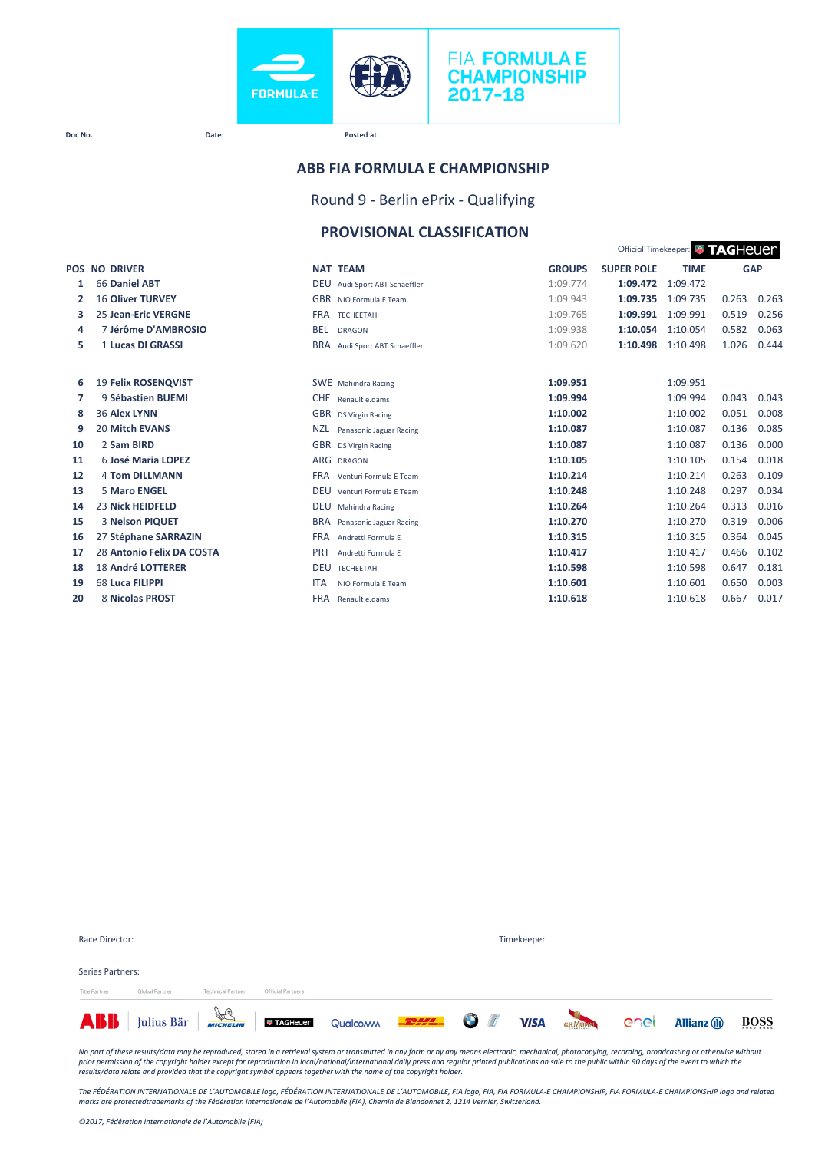

#### **Doc No. Date: Posted at:**

#### **ABB FIA FORMULA E CHAMPIONSHIP**

Round 9 - Berlin ePrix - Qualifying

#### **PROVISIONAL CLASSIFICATION**

|    | Official Timekeeper: <b># TAGHeUEM</b> |                                         |               |                   |             |       |            |
|----|----------------------------------------|-----------------------------------------|---------------|-------------------|-------------|-------|------------|
|    | <b>POS NO DRIVER</b>                   | <b>NAT TEAM</b>                         | <b>GROUPS</b> | <b>SUPER POLE</b> | <b>TIME</b> |       | <b>GAP</b> |
| 1  | 66 Daniel ABT                          | DEU Audi Sport ABT Schaeffler           | 1:09.774      | 1:09.472          | 1:09.472    |       |            |
| 2  | <b>16 Oliver TURVEY</b>                | <b>GBR</b> NIO Formula E Team           | 1:09.943      | 1:09.735          | 1:09.735    | 0.263 | 0.263      |
| з  | <b>25 Jean-Eric VERGNE</b>             | <b>FRA</b><br><b>TFCHFFTAH</b>          | 1:09.765      | 1:09.991          | 1:09.991    | 0.519 | 0.256      |
| 4  | 7 Jérôme D'AMBROSIO                    | <b>BEL</b><br><b>DRAGON</b>             | 1:09.938      | 1:10.054          | 1:10.054    | 0.582 | 0.063      |
| 5  | 1 Lucas DI GRASSI                      | <b>BRA</b><br>Audi Sport ABT Schaeffler | 1:09.620      | 1:10.498          | 1:10.498    | 1.026 | 0.444      |
|    |                                        |                                         |               |                   |             |       |            |
| 6  | <b>19 Felix ROSENQVIST</b>             | <b>SWE</b> Mahindra Racing              | 1:09.951      |                   | 1:09.951    |       |            |
| 7  | 9 Sébastien BUEMI                      | <b>CHE</b><br>Renault e.dams            | 1:09.994      |                   | 1:09.994    | 0.043 | 0.043      |
| 8  | <b>36 Alex LYNN</b>                    | <b>GBR</b><br><b>DS Virgin Racing</b>   | 1:10.002      |                   | 1:10.002    | 0.051 | 0.008      |
| 9  | <b>20 Mitch EVANS</b>                  | <b>NZL</b><br>Panasonic Jaguar Racing   | 1:10.087      |                   | 1:10.087    | 0.136 | 0.085      |
| 10 | 2 Sam BIRD                             | <b>GBR</b><br><b>DS Virgin Racing</b>   | 1:10.087      |                   | 1:10.087    | 0.136 | 0.000      |
| 11 | 6 José Maria LOPEZ                     | ARG<br><b>DRAGON</b>                    | 1:10.105      |                   | 1:10.105    | 0.154 | 0.018      |
| 12 | <b>4 Tom DILLMANN</b>                  | <b>FRA</b><br>Venturi Formula E Team    | 1:10.214      |                   | 1:10.214    | 0.263 | 0.109      |
| 13 | <b>5 Maro ENGEL</b>                    | <b>DEU</b><br>Venturi Formula E Team    | 1:10.248      |                   | 1:10.248    | 0.297 | 0.034      |
| 14 | <b>23 Nick HEIDFELD</b>                | <b>DEU</b><br>Mahindra Racing           | 1:10.264      |                   | 1:10.264    | 0.313 | 0.016      |
| 15 | <b>3 Nelson PIQUET</b>                 | <b>BRA</b><br>Panasonic Jaguar Racing   | 1:10.270      |                   | 1:10.270    | 0.319 | 0.006      |
| 16 | 27 Stéphane SARRAZIN                   | <b>FRA</b><br>Andretti Formula E        | 1:10.315      |                   | 1:10.315    | 0.364 | 0.045      |
| 17 | 28 Antonio Felix DA COSTA              | <b>PRT</b><br>Andretti Formula F        | 1:10.417      |                   | 1:10.417    | 0.466 | 0.102      |
| 18 | <b>18 André LOTTERER</b>               | <b>DEU</b><br><b>TECHEETAH</b>          | 1:10.598      |                   | 1:10.598    | 0.647 | 0.181      |
| 19 | 68 Luca FILIPPI                        | <b>ITA</b><br>NIO Formula E Team        | 1:10.601      |                   | 1:10.601    | 0.650 | 0.003      |
| 20 | 8 Nicolas PROST                        | <b>FRA</b><br>Renault e.dams            | 1:10.618      |                   | 1:10.618    | 0.667 | 0.017      |

| Race Director:   |                                                                                           |                          |                   |  | Timekeeper |  |                     |             |
|------------------|-------------------------------------------------------------------------------------------|--------------------------|-------------------|--|------------|--|---------------------|-------------|
| Series Partners: |                                                                                           |                          |                   |  |            |  |                     |             |
| Title Partner    | Global Partner                                                                            | <b>Technical Partner</b> | Official Partners |  |            |  |                     |             |
|                  | <b>ABB</b> Julius Bär <b>Francische Directore</b> Qualcom <b>FRALE OF VISA</b> GRADEN COC |                          |                   |  |            |  | <b>Allianz</b> (ii) | <b>BOSS</b> |

*No part of these results/data may be reproduced, stored in a retrieval system or transmitted in any form or by any means electronic, mechanical, photocopying, recording, broadcasting or otherwise without*  prior permission of the copyright holder except for reproduction in local/national/international daily press and regular printed publications on sale to the public within 90 days of the event to which the<br>results/data rela

The FÉDÉRATION INTERNATIONALE DE L'AUTOMOBILE logo, FÉDÉRATION INTERNATIONALE DE L'AUTOMOBILE, FIA logo, FIA, FIA FORMULA-E CHAMPIONSHIP, FIA FORMULA-E CHAMPIONSHIP logo and related<br>marks are protectedtrademarks of the Féd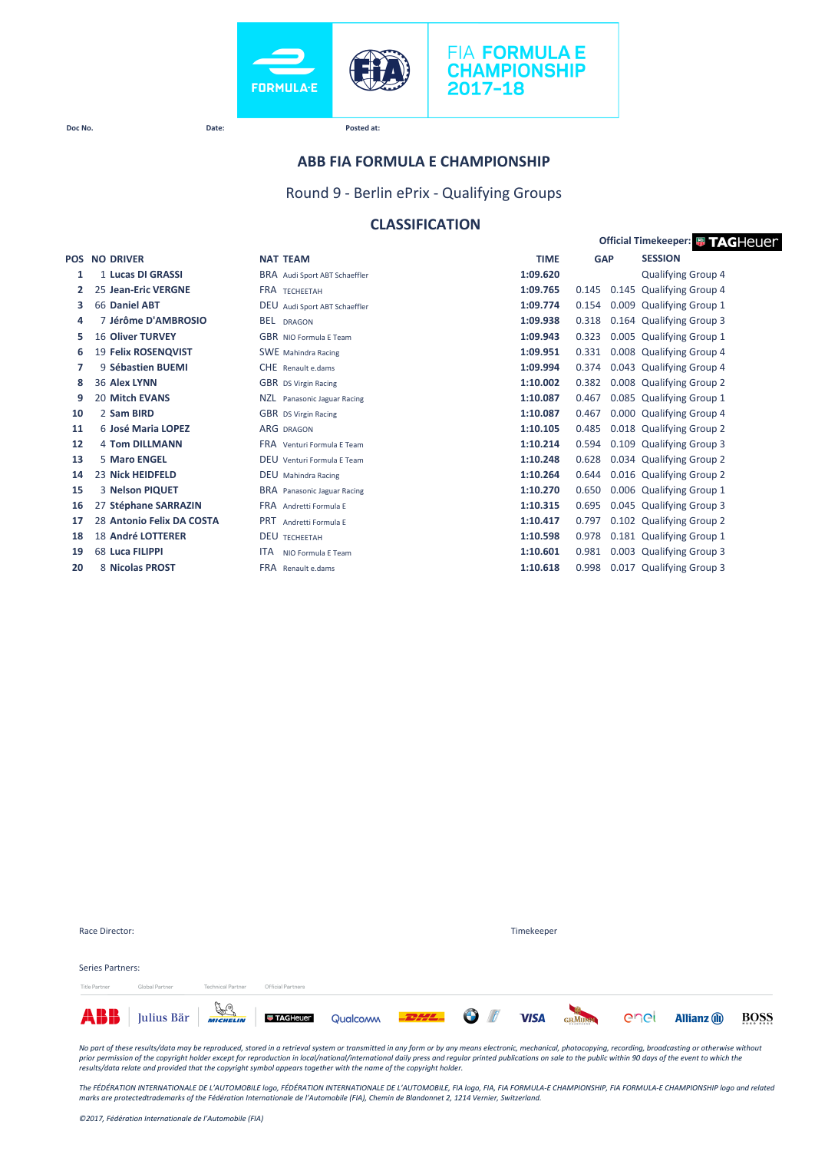



**Doc No. Date: Posted at:**

#### **ABB FIA FORMULA E CHAMPIONSHIP**

Round 9 - Berlin ePrix - Qualifying Groups

### **CLASSIFICATION**

|            |                           |                                   |             | <b>Official Timekeeper: # TAGHeUer</b> |                           |  |  |  |
|------------|---------------------------|-----------------------------------|-------------|----------------------------------------|---------------------------|--|--|--|
| <b>POS</b> | <b>NO DRIVER</b>          | <b>NAT TEAM</b>                   | <b>TIME</b> | <b>GAP</b>                             | <b>SESSION</b>            |  |  |  |
| 1          | 1 Lucas DI GRASSI         | BRA Audi Sport ABT Schaeffler     | 1:09.620    |                                        | <b>Qualifying Group 4</b> |  |  |  |
| 2          | 25 Jean-Eric VERGNE       | <b>FRA TECHEETAH</b>              | 1:09.765    | 0.145                                  | 0.145 Qualifying Group 4  |  |  |  |
| з          | 66 Daniel ABT             | DEU Audi Sport ABT Schaeffler     | 1:09.774    | 0.154                                  | 0.009 Qualifying Group 1  |  |  |  |
| 4          | 7 Jérôme D'AMBROSIO       | BEL DRAGON                        | 1:09.938    | 0.318                                  | 0.164 Qualifying Group 3  |  |  |  |
| 5          | <b>16 Oliver TURVEY</b>   | GBR NIO Formula E Team            | 1:09.943    | 0.323                                  | 0.005 Qualifying Group 1  |  |  |  |
| 6          | 19 Felix ROSENQVIST       | <b>SWE</b> Mahindra Racing        | 1:09.951    | 0.331                                  | 0.008 Qualifying Group 4  |  |  |  |
| 7          | 9 Sébastien BUEMI         | CHE Renault e.dams                | 1:09.994    | 0.374                                  | 0.043 Qualifying Group 4  |  |  |  |
| 8          | 36 Alex LYNN              | <b>GBR</b> DS Virgin Racing       | 1:10.002    | 0.382                                  | 0.008 Qualifying Group 2  |  |  |  |
| 9          | <b>20 Mitch EVANS</b>     | NZL.<br>Panasonic Jaguar Racing   | 1:10.087    | 0.467                                  | 0.085 Qualifying Group 1  |  |  |  |
| 10         | 2 Sam BIRD                | <b>GBR</b> DS Virgin Racing       | 1:10.087    | 0.467                                  | 0.000 Qualifying Group 4  |  |  |  |
| 11         | 6 José Maria LOPEZ        | <b>ARG DRAGON</b>                 | 1:10.105    | 0.485                                  | 0.018 Qualifying Group 2  |  |  |  |
| 12         | <b>4 Tom DILLMANN</b>     | <b>FRA</b> Venturi Formula F Team | 1:10.214    | 0.594                                  | 0.109 Qualifying Group 3  |  |  |  |
| 13         | 5 Maro ENGEL              | DEU Venturi Formula F Team        | 1:10.248    | 0.628                                  | 0.034 Qualifying Group 2  |  |  |  |
| 14         | 23 Nick HEIDFELD          | <b>DEU</b> Mahindra Racing        | 1:10.264    | 0.644                                  | 0.016 Qualifying Group 2  |  |  |  |
| 15         | 3 Nelson PIQUET           | BRA Panasonic Jaguar Racing       | 1:10.270    | 0.650                                  | 0.006 Qualifying Group 1  |  |  |  |
| 16         | 27 Stéphane SARRAZIN      | <b>FRA</b> Andretti Formula E     | 1:10.315    | 0.695                                  | 0.045 Qualifying Group 3  |  |  |  |
| 17         | 28 Antonio Felix DA COSTA | <b>PRT</b> Andretti Formula E     | 1:10.417    | 0.797                                  | 0.102 Qualifying Group 2  |  |  |  |
| 18         | 18 André LOTTERER         | <b>DEU TECHEETAH</b>              | 1:10.598    | 0.978                                  | 0.181 Qualifying Group 1  |  |  |  |
| 19         | 68 Luca FILIPPI           | <b>ITA</b><br>NIO Formula E Team  | 1:10.601    | 0.981                                  | 0.003 Qualifying Group 3  |  |  |  |
| 20         | 8 Nicolas PROST           | FRA Renault e.dams                | 1:10.618    | 0.998                                  | 0.017 Qualifying Group 3  |  |  |  |

|                         |                |                          |                   | <b>ABB</b> Julius Bär <b>Franz Landstein</b> Qualcom <b>PEPE O</b> |  |  | GHMUNN COCI |  | <b>Allianz</b> (ii) | BOSS |
|-------------------------|----------------|--------------------------|-------------------|--------------------------------------------------------------------|--|--|-------------|--|---------------------|------|
| <b>Title Partner</b>    | Global Partner | <b>Technical Partner</b> | Official Partners |                                                                    |  |  |             |  |                     |      |
| <b>Series Partners:</b> |                |                          |                   |                                                                    |  |  |             |  |                     |      |
|                         |                |                          |                   |                                                                    |  |  |             |  |                     |      |
| Race Director:          |                |                          |                   | Timekeeper                                                         |  |  |             |  |                     |      |

No part of these results/data may be reproduced, stored in a retrieval system or transmitted in any form or by any means electronic, mechanical, photocopying, recording, broadcasting or otherwise without<br>prior permission o

The FÉDÉRATION INTERNATIONALE DE L'AUTOMOBILE logo, FÉDÉRATION INTERNATIONALE DE L'AUTOMOBILE, FIA logo, FIA, FIA FORMULA-E CHAMPIONSHIP, FIA FORMULA-E CHAMPIONSHIP logo and related<br>marks are protectedtrademarks of the Féd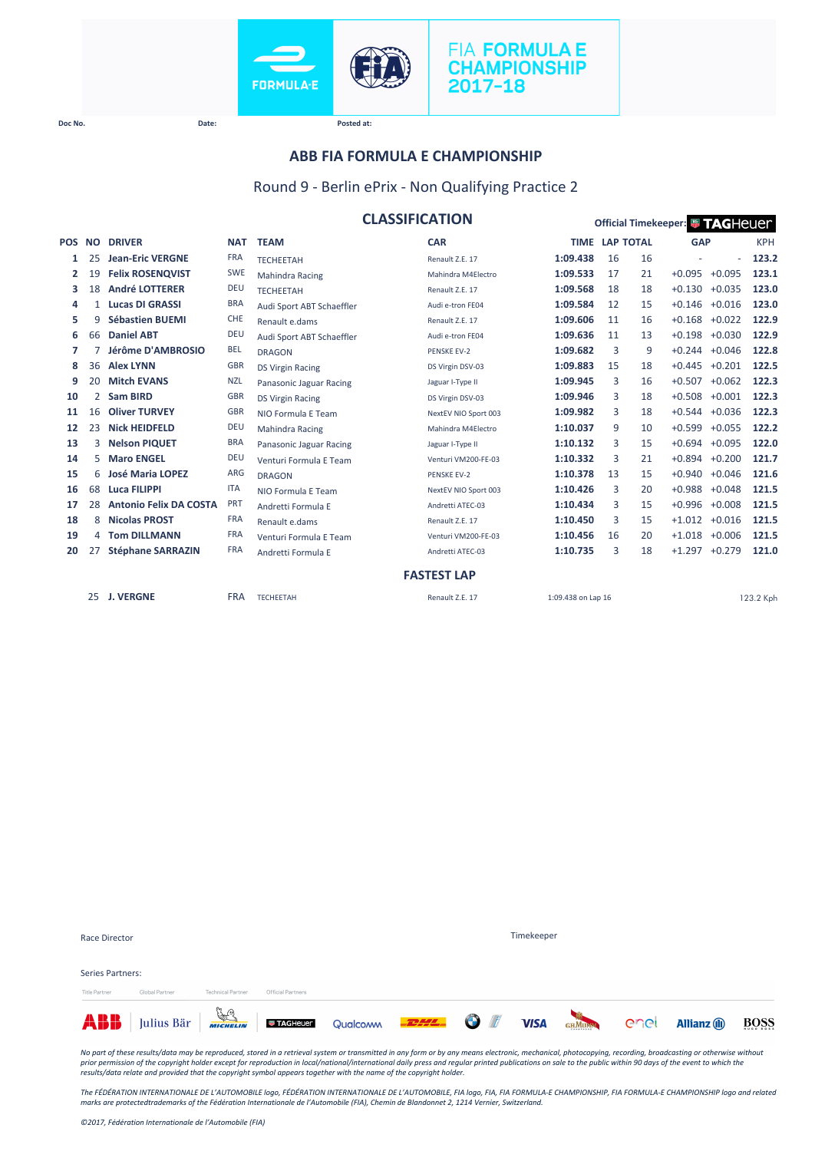



**Official Timekeeper: <sup>1</sup> TAGHeuer** 

**Doc No. Date: Posted at:**

#### **ABB FIA FORMULA E CHAMPIONSHIP**

#### Round 9 - Berlin ePrix - Non Qualifying Practice 2

|  | <b>CLASSIFICATION</b> |  |  |  |
|--|-----------------------|--|--|--|
|--|-----------------------|--|--|--|

| <b>POS</b> | <b>NO</b> | <b>DRIVER</b>                 | <b>NAT</b> | <b>TEAM</b>               | <b>CAR</b>           |                    | <b>TIME LAP TOTAL</b> |    | <b>GAP</b>      |                   | <b>KPH</b> |
|------------|-----------|-------------------------------|------------|---------------------------|----------------------|--------------------|-----------------------|----|-----------------|-------------------|------------|
| 1          | 25        | <b>Jean-Eric VERGNE</b>       | <b>FRA</b> | <b>TECHEETAH</b>          | Renault Z.E. 17      | 1:09.438           | 16                    | 16 |                 | ٠                 | 123.2      |
| 2          | 19        | <b>Felix ROSENQVIST</b>       | <b>SWE</b> | <b>Mahindra Racing</b>    | Mahindra M4Electro   | 1:09.533           | 17                    | 21 | $+0.095 +0.095$ |                   | 123.1      |
| 3          | 18        | <b>André LOTTERER</b>         | <b>DEU</b> | <b>TECHEETAH</b>          | Renault Z.E. 17      | 1:09.568           | 18                    | 18 | $+0.130$        | $+0.035$          | 123.0      |
| 4          | 1         | <b>Lucas DI GRASSI</b>        | <b>BRA</b> | Audi Sport ABT Schaeffler | Audi e-tron FE04     | 1:09.584           | 12                    | 15 | $+0.146$        | $+0.016$          | 123.0      |
| 5          | 9         | <b>Sébastien BUEMI</b>        | <b>CHE</b> | Renault e.dams            | Renault Z.E. 17      | 1:09.606           | 11                    | 16 | $+0.168$        | $+0.022$          | 122.9      |
| 6          | 66        | <b>Daniel ABT</b>             | <b>DEU</b> | Audi Sport ABT Schaeffler | Audi e-tron FE04     | 1:09.636           | 11                    | 13 | $+0.198$        | $+0.030$          | 122.9      |
| 7          |           | Jérôme D'AMBROSIO             | <b>BEL</b> | <b>DRAGON</b>             | <b>PENSKE EV-2</b>   | 1:09.682           | 3                     | 9  |                 | $+0.244 +0.046$   | 122.8      |
| 8          | 36        | <b>Alex LYNN</b>              | <b>GBR</b> | <b>DS Virgin Racing</b>   | DS Virgin DSV-03     | 1:09.883           | 15                    | 18 |                 | $+0.445 +0.201$   | 122.5      |
| 9          | 20        | <b>Mitch EVANS</b>            | <b>NZL</b> | Panasonic Jaguar Racing   | Jaguar I-Type II     | 1:09.945           | 3                     | 16 | $+0.507$        | $+0.062$          | 122.3      |
| 10         | 2         | <b>Sam BIRD</b>               | <b>GBR</b> | <b>DS Virgin Racing</b>   | DS Virgin DSV-03     | 1:09.946           | 3                     | 18 |                 | $+0.508 +0.001$   | 122.3      |
| 11         | 16        | <b>Oliver TURVEY</b>          | <b>GBR</b> | NIO Formula E Team        | NextEV NIO Sport 003 | 1:09.982           | 3                     | 18 | $+0.544$        | $+0.036$          | 122.3      |
| 12         | 23        | <b>Nick HEIDFELD</b>          | <b>DEU</b> | <b>Mahindra Racing</b>    | Mahindra M4Electro   | 1:10.037           | 9                     | 10 | $+0.599$        | $+0.055$          | 122.2      |
| 13         | 3         | <b>Nelson PIQUET</b>          | <b>BRA</b> | Panasonic Jaguar Racing   | Jaguar I-Type II     | 1:10.132           | 3                     | 15 | $+0.694$        | $+0.095$          | 122.0      |
| 14         | 5.        | <b>Maro ENGEL</b>             | <b>DEU</b> | Venturi Formula E Team    | Venturi VM200-FE-03  | 1:10.332           | 3                     | 21 | $+0.894$        | $+0.200$          | 121.7      |
| 15         | 6         | <b>José Maria LOPEZ</b>       | ARG        | <b>DRAGON</b>             | <b>PENSKE EV-2</b>   | 1:10.378           | 13                    | 15 | $+0.940$        | $+0.046$          | 121.6      |
| 16         | 68        | Luca FILIPPI                  | <b>ITA</b> | NIO Formula E Team        | NextEV NIO Sport 003 | 1:10.426           | 3                     | 20 | $+0.988$        | $+0.048$          | 121.5      |
| 17         | 28        | <b>Antonio Felix DA COSTA</b> | PRT        | Andretti Formula E        | Andretti ATEC-03     | 1:10.434           | 3                     | 15 | $+0.996$        | $+0.008$          | 121.5      |
| 18         | 8         | <b>Nicolas PROST</b>          | <b>FRA</b> | Renault e.dams            | Renault Z.E. 17      | 1:10.450           | 3                     | 15 | $+1.012$        | $+0.016$          | 121.5      |
| 19         | 4         | <b>Tom DILLMANN</b>           | <b>FRA</b> | Venturi Formula E Team    | Venturi VM200-FE-03  | 1:10.456           | 16                    | 20 |                 | $+1.018$ $+0.006$ | 121.5      |
| 20         | 27        | <b>Stéphane SARRAZIN</b>      | <b>FRA</b> | Andretti Formula E        | Andretti ATEC-03     | 1:10.735           | 3                     | 18 |                 | $+1.297 +0.279$   | 121.0      |
|            |           |                               |            |                           | <b>FASTEST LAP</b>   |                    |                       |    |                 |                   |            |
|            |           |                               |            |                           |                      |                    |                       |    |                 |                   |            |
|            | 25        | <b>J. VERGNE</b>              | <b>FRA</b> | <b>TECHEETAH</b>          | Renault Z.E. 17      | 1:09.438 on Lap 16 |                       |    |                 |                   | 123.2 Kph  |

|                  | ABB Julius Bär <b>Frage Little Constant Constant Constant Constant Constant Constant Constant Constant Constant Constant Constant Constant Constant Constant Constant Constant Constant Constant Constant Constant Constant Cons</b> |                          |                   |            |  | GHMUMM Cnel | <b>Allianz</b> (ii) | BOSS |
|------------------|--------------------------------------------------------------------------------------------------------------------------------------------------------------------------------------------------------------------------------------|--------------------------|-------------------|------------|--|-------------|---------------------|------|
| Title Partner    | Global Partner                                                                                                                                                                                                                       | <b>Technical Partner</b> | Official Partners |            |  |             |                     |      |
| Series Partners: |                                                                                                                                                                                                                                      |                          |                   |            |  |             |                     |      |
| Race Director    |                                                                                                                                                                                                                                      |                          |                   | Timekeeper |  |             |                     |      |

No part of these results/data may be reproduced, stored in a retrieval system or transmitted in any form or by any means electronic, mechanical, photocopying, recording, broadcasting or otherwise without<br>prior permission o

*The FÉDÉRATION INTERNATIONALE DE L'AUTOMOBILE logo, FÉDÉRATION INTERNATIONALE DE L'AUTOMOBILE, FIA logo, FIA, FIA FORMULA-E CHAMPIONSHIP, FIA FORMULA-E CHAMPIONSHIP logo and related marks are protectedtrademarks of the Fédération Internationale de l'Automobile (FIA), Chemin de Blandonnet 2, 1214 Vernier, Switzerland.*